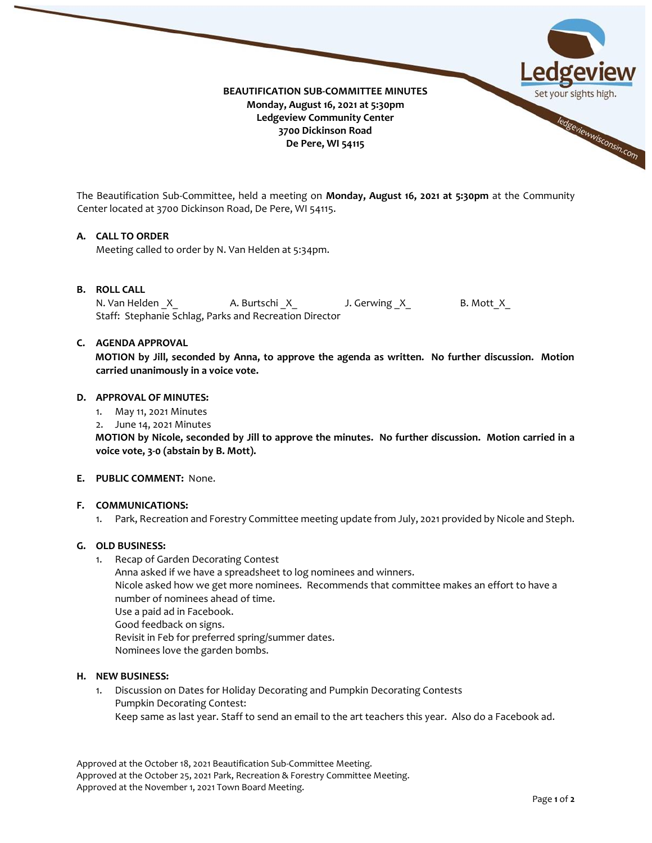

The Beautification Sub-Committee, held a meeting on **Monday, August 16, 2021 at 5:30pm** at the Community Center located at 3700 Dickinson Road, De Pere, WI 54115.

## **A. CALL TO ORDER**

Meeting called to order by N. Van Helden at 5:34pm.

## **B. ROLL CALL**

N. Van Helden X A. Burtschi X J. Gerwing X B. Mott X Staff: Stephanie Schlag, Parks and Recreation Director

## **C. AGENDA APPROVAL**

**MOTION by Jill, seconded by Anna, to approve the agenda as written. No further discussion. Motion carried unanimously in a voice vote.** 

### **D. APPROVAL OF MINUTES:**

- 1. May 11, 2021 Minutes
- 2. June 14, 2021 Minutes

**MOTION by Nicole, seconded by Jill to approve the minutes. No further discussion. Motion carried in a voice vote, 3-0 (abstain by B. Mott).** 

#### **E. PUBLIC COMMENT:** None.

#### **F. COMMUNICATIONS:**

1. Park, Recreation and Forestry Committee meeting update from July, 2021 provided by Nicole and Steph.

## **G. OLD BUSINESS:**

- 1. Recap of Garden Decorating Contest
	- Anna asked if we have a spreadsheet to log nominees and winners. Nicole asked how we get more nominees. Recommends that committee makes an effort to have a number of nominees ahead of time. Use a paid ad in Facebook. Good feedback on signs. Revisit in Feb for preferred spring/summer dates. Nominees love the garden bombs.

#### **H. NEW BUSINESS:**

1. Discussion on Dates for Holiday Decorating and Pumpkin Decorating Contests Pumpkin Decorating Contest: Keep same as last year. Staff to send an email to the art teachers this year. Also do a Facebook ad.